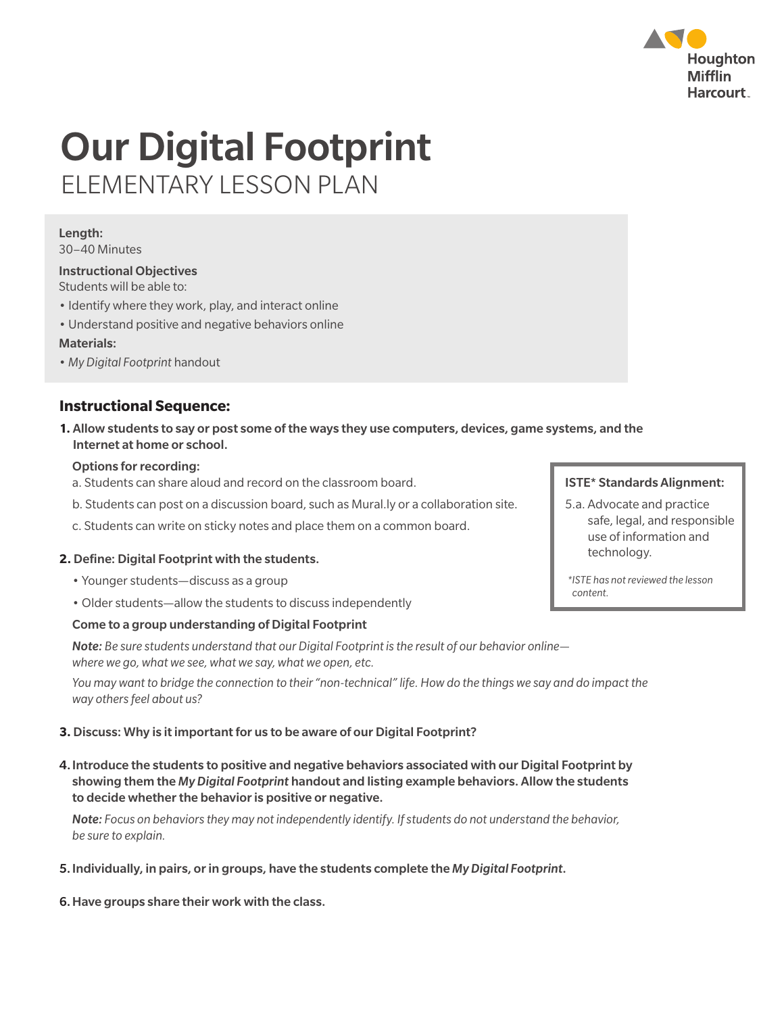

# Our Digital Footprint ELEMENTARY LESSON PLAN

# Length:

30–40 Minutes

## Instructional Objectives

Students will be able to:

- Identify where they work, play, and interact online
- Understand positive and negative behaviors online Materials:
- *My Digital Footprint* handout

### **Instructional Sequence:**

**1.** Allow students to say or post some of the ways they use computers, devices, game systems, and the Internet at home or school.

#### Options for recording:

- a. Students can share aloud and record on the classroom board.
- b. Students can post on a discussion board, such as Mural.ly or a collaboration site.
- c. Students can write on sticky notes and place them on a common board.

#### **2.** Define: Digital Footprint with the students.

- Younger students—discuss as a group
- Older students—allow the students to discuss independently

#### Come to a group understanding of Digital Footprint

 *Note: Be sure students understand that our Digital Footprint is the result of our behavior online where we go, what we see, what we say, what we open, etc.* 

*You may want to bridge the connection to their "non-technical" life. How do the things we say and do impact the way others feel about us?*

#### **3.** Discuss: Why is it important for us to be aware of our Digital Footprint?

4. Introduce the students to positive and negative behaviors associated with our Digital Footprint by showing them the *My Digital Footprint* handout and listing example behaviors. Allow the students to decide whether the behavior is positive or negative.

 *Note: Focus on behaviors they may not independently identify. If students do not understand the behavior, be sure to explain.*

5. Individually, in pairs, or in groups, have the students complete the *My Digital Footprint*.

6.Have groups share their work with the class.

#### ISTE\* Standards Alignment:

5.a. Advocate and practice safe, legal, and responsible use of information and technology.

*\*ISTE has not reviewed the lesson content.*